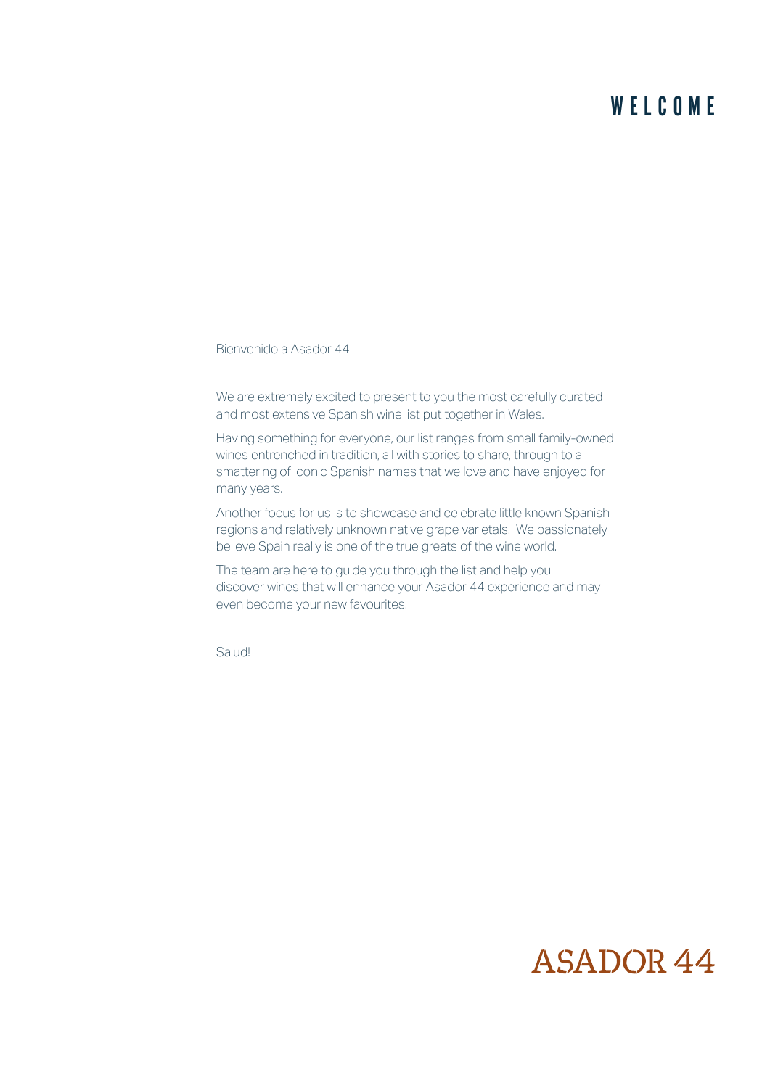### WELCOME

Bienvenido a Asador 44

We are extremely excited to present to you the most carefully curated and most extensive Spanish wine list put together in Wales.

Having something for everyone, our list ranges from small family-owned wines entrenched in tradition, all with stories to share, through to a smattering of iconic Spanish names that we love and have enjoyed for many years.

Another focus for us is to showcase and celebrate little known Spanish regions and relatively unknown native grape varietals. We passionately believe Spain really is one of the true greats of the wine world.

The team are here to guide you through the list and help you discover wines that will enhance your Asador 44 experience and may even become your new favourites.

Salud!

## **ASADOR 44**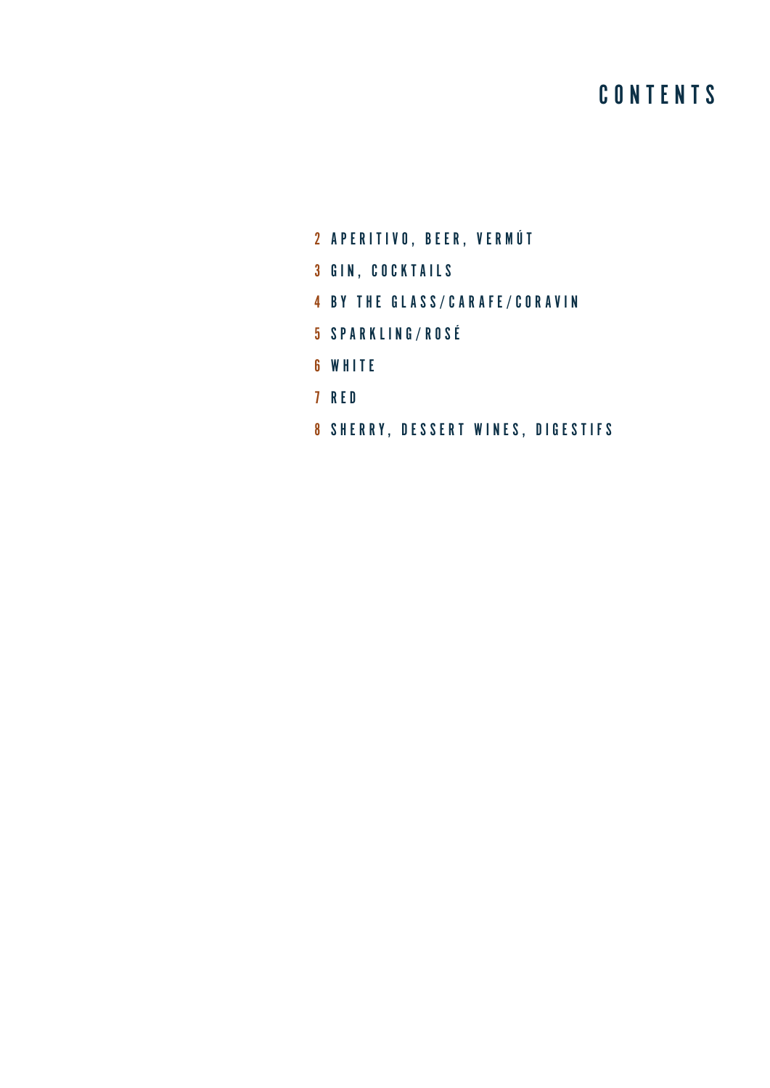### **CONTENTS**

- 2 APERITIVO, BEER, VERMÚT
- 3 GIN, COCKTAILS
- 4 BY THE GLASS/CARAFE/CORAVIN
- 5 SPARKLING/ROSÉ
- 6 WHITE
- 7 RED
- 8 SHERRY, DESSERT WINES, DIGESTIFS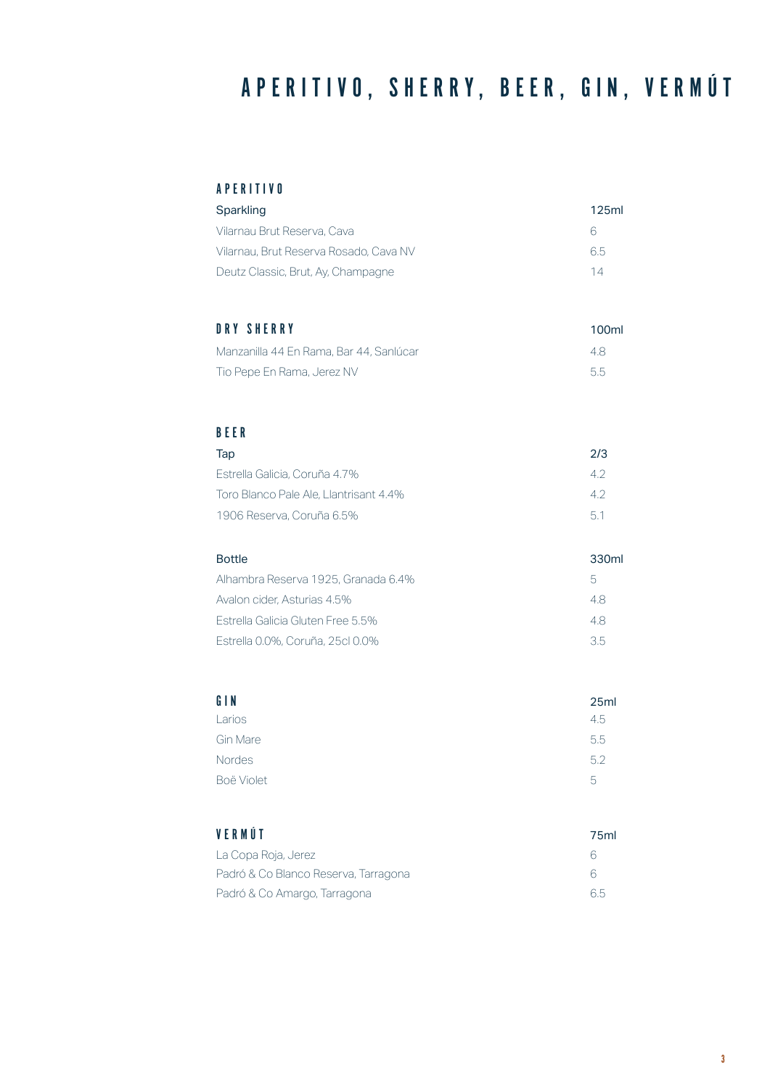# APERITIVO, SHERRY, BEER, GIN, VERMÚT

#### APERITIVO

| Sparkling                              | 125ml |
|----------------------------------------|-------|
| Vilarnau Brut Reserva, Cava            | 6     |
| Vilarnau. Brut Reserva Rosado. Cava NV | 6.5   |
| Deutz Classic, Brut, Ay, Champagne     | 14    |

### DRY SHERRY 100ml

| Manzanilla 44 En Rama, Bar 44, Sanlúcar | 4.8  |
|-----------------------------------------|------|
| Tio Pepe En Rama, Jerez NV              | -5.5 |

#### BEER

| Tap                                    | 2/3 |
|----------------------------------------|-----|
| Estrella Galicia, Coruña 4.7%          | 42  |
| Toro Blanco Pale Ale, Llantrisant 4.4% | 42  |
| 1906 Reserva, Coruña 6.5%              | 51  |

| <b>Bottle</b>                       | 330ml |
|-------------------------------------|-------|
| Alhambra Reserva 1925, Granada 6,4% | 5     |
| Avalon cider. Asturias 4.5%         | 4.8   |
| Estrella Galicia Gluten Free 5.5%   | 4.8   |
| Estrella 0.0%, Coruña, 25cl 0.0%    | 35    |

| GIN           | 25 <sub>m</sub> |
|---------------|-----------------|
| Larios        | 4.5             |
| Gin Mare      | 5.5             |
| <b>Nordes</b> | 5.2             |
| Boë Violet    | 5               |

| VERMÚT                               | 75ml |
|--------------------------------------|------|
| La Copa Roja, Jerez                  | ĥ    |
| Padró & Co Blanco Reserva, Tarragona | 6    |
| Padró & Co Amargo, Tarragona         | 6.5  |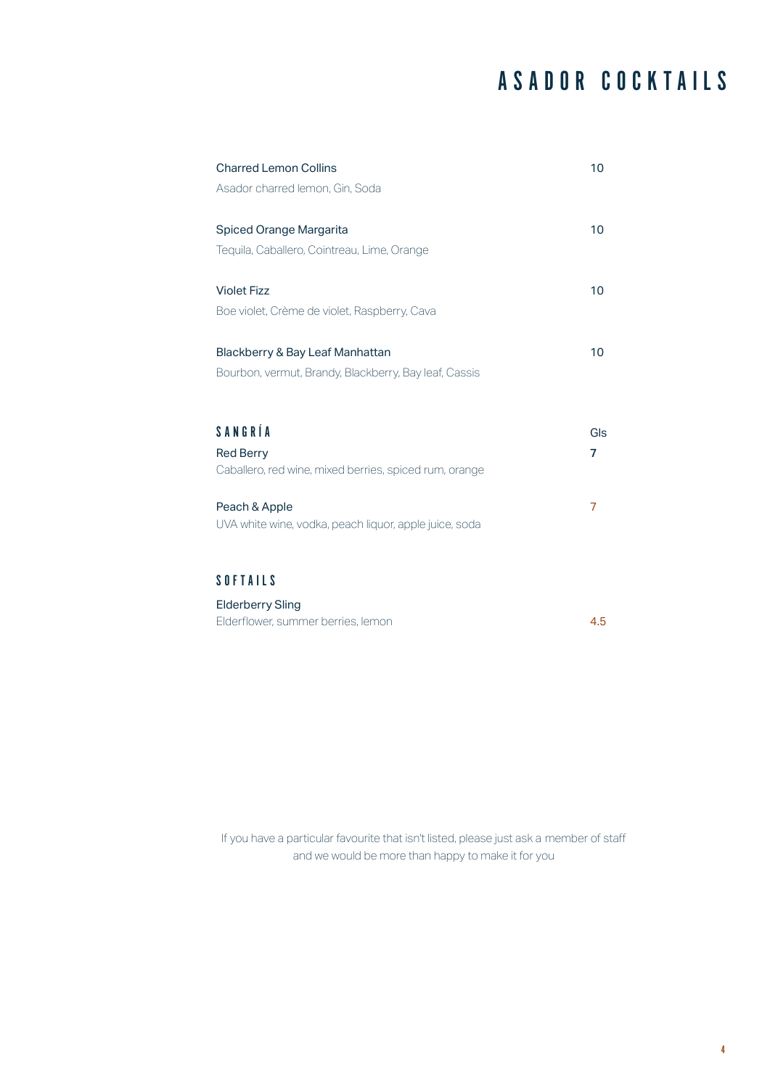## ASADOR COCKTAILS

|                                                        | 10  |
|--------------------------------------------------------|-----|
| Asador charred lemon, Gin, Soda                        |     |
|                                                        |     |
| <b>Spiced Orange Margarita</b>                         | 10  |
| Tequila, Caballero, Cointreau, Lime, Orange            |     |
|                                                        |     |
| <b>Violet Fizz</b>                                     | 10  |
| Boe violet, Crème de violet, Raspberry, Cava           |     |
|                                                        |     |
| Blackberry & Bay Leaf Manhattan                        | 10  |
| Bourbon, vermut, Brandy, Blackberry, Bay leaf, Cassis  |     |
|                                                        |     |
|                                                        |     |
|                                                        |     |
| SANGRÍA                                                | Gls |
| <b>Red Berry</b>                                       | 7   |
| Caballero, red wine, mixed berries, spiced rum, orange |     |
|                                                        |     |
| Peach & Apple                                          | 7   |
| UVA white wine, vodka, peach liquor, apple juice, soda |     |
|                                                        |     |
| <b>SOFTAILS</b>                                        |     |

Elderberry Sling Elderflower, summer berries, lemon 4.5

If you have a particular favourite that isn't listed, please just ask a member of staff and we would be more than happy to make it for you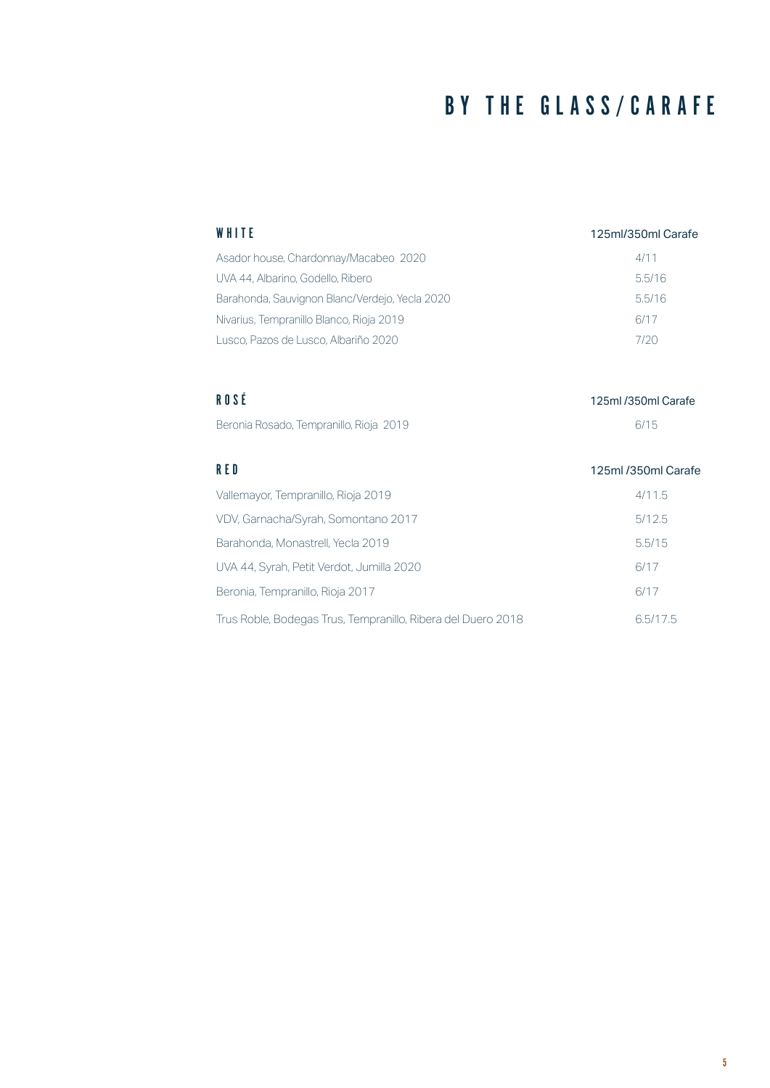## BY THE GLASS/CARAFE

| WHITE                                          | 125ml/350ml Carafe |
|------------------------------------------------|--------------------|
| Asador house, Chardonnay/Macabeo 2020          | 4/11               |
| UVA 44, Albarino, Godello, Ribero              | 5.5/16             |
| Barahonda, Sauvignon Blanc/Verdejo, Yecla 2020 | 5.5/16             |
| Nivarius, Tempranillo Blanco, Rioja 2019       | 6/17               |
| Lusco. Pazos de Lusco. Albariño 2020           | 7/20               |

| ROSÉ                                    | 125ml /350ml Carafe |
|-----------------------------------------|---------------------|
| Beronia Rosado, Tempranillo, Rioja 2019 | 6/15                |

| RED                                                          | 125ml /350ml Carafe |
|--------------------------------------------------------------|---------------------|
| Vallemayor, Tempranillo, Rioja 2019                          | 4/11.5              |
| VDV, Garnacha/Syrah, Somontano 2017                          | 5/12.5              |
| Barahonda, Monastrell, Yecla 2019                            | 5.5/15              |
| UVA 44, Syrah, Petit Verdot, Jumilla 2020                    | 6/17                |
| Beronia, Tempranillo, Rioja 2017                             | 6/17                |
| Trus Roble, Bodegas Trus, Tempranillo, Ribera del Duero 2018 | 6.5/17.5            |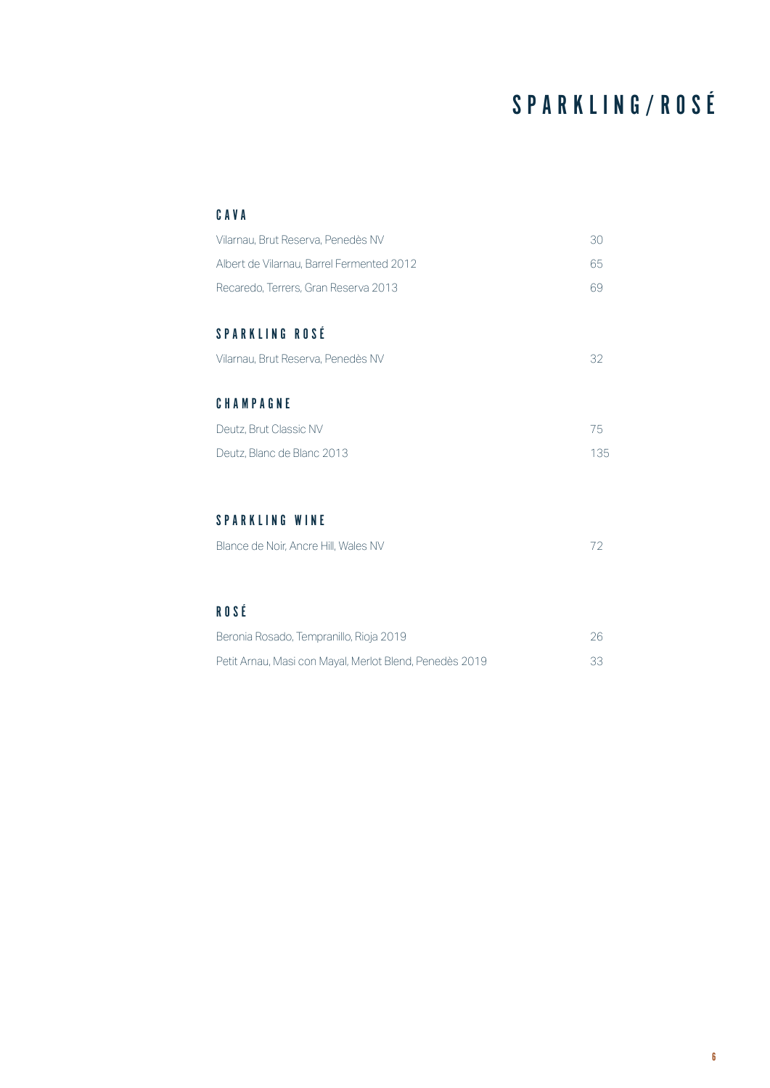# SPARKLING/ROSÉ

#### CAVA

| Vilarnau, Brut Reserva, Penedès NV        | 30  |
|-------------------------------------------|-----|
| Albert de Vilarnau, Barrel Fermented 2012 | 65  |
| Recaredo, Terrers, Gran Reserva 2013      | 69  |
|                                           |     |
| <b>SPARKLING ROSÉ</b>                     |     |
| Vilarnau, Brut Reserva, Penedès NV        | 32  |
|                                           |     |
| CHAMPAGNE                                 |     |
| Deutz, Brut Classic NV                    | 75  |
| Deutz, Blanc de Blanc 2013                | 135 |

#### SPARKLING WINE

| Blance de Noir, Ancre Hill, Wales NV |  |
|--------------------------------------|--|
|                                      |  |

### ROSÉ

| Beronia Rosado, Tempranillo, Rioja 2019                 |    |
|---------------------------------------------------------|----|
| Petit Arnau, Masi con Mayal, Merlot Blend, Penedès 2019 | 33 |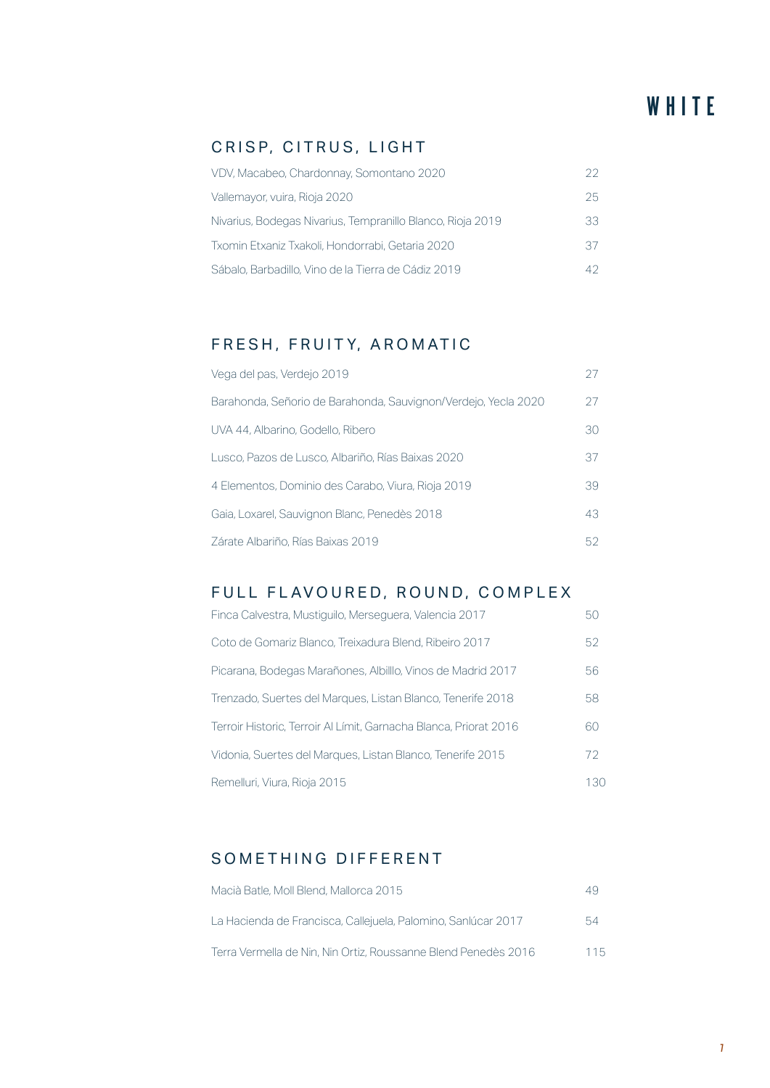#### CRISP, CITRUS, LIGHT

| 22. |
|-----|
| 25. |
| 33  |
| 37. |
| 42. |
|     |

### FRESH, FRUITY, AROMATIC

| Vega del pas, Verdejo 2019                                     | 27 |
|----------------------------------------------------------------|----|
| Barahonda, Señorio de Barahonda, Sauvignon/Verdejo, Yecla 2020 | 27 |
| UVA 44. Albarino. Godello. Ribero                              | 30 |
| Lusco, Pazos de Lusco, Albariño, Rías Baixas 2020              | 37 |
| 4 Elementos, Dominio des Carabo, Viura, Rioja 2019             | 39 |
| Gaia, Loxarel, Sauvignon Blanc, Penedès 2018                   | 43 |
| Zárate Albariño, Rías Baixas 2019                              | 52 |

#### FULL FLAVOURED, ROUND, COMPLEX

| Finca Calvestra, Mustiquilo, Merseguera, Valencia 2017            | 50  |
|-------------------------------------------------------------------|-----|
| Coto de Gomariz Blanco, Treixadura Blend, Ribeiro 2017            | 52  |
| Picarana, Bodegas Marañones, Albilllo, Vinos de Madrid 2017       | 56  |
| Trenzado, Suertes del Marques, Listan Blanco, Tenerife 2018       | 58  |
| Terroir Historic, Terroir Al Límit, Garnacha Blanca, Priorat 2016 | 60  |
| Vidonia, Suertes del Marques, Listan Blanco, Tenerife 2015        | 72. |
| Remelluri, Viura, Rioja 2015                                      | 130 |

### SOMETHING DIFFERENT

| Macià Batle, Moll Blend, Mallorca 2015                         | 49  |
|----------------------------------------------------------------|-----|
| La Hacienda de Francisca, Callejuela, Palomino, Sanlúcar 2017  | 54  |
| Terra Vermella de Nin, Nin Ortiz, Roussanne Blend Penedès 2016 | 115 |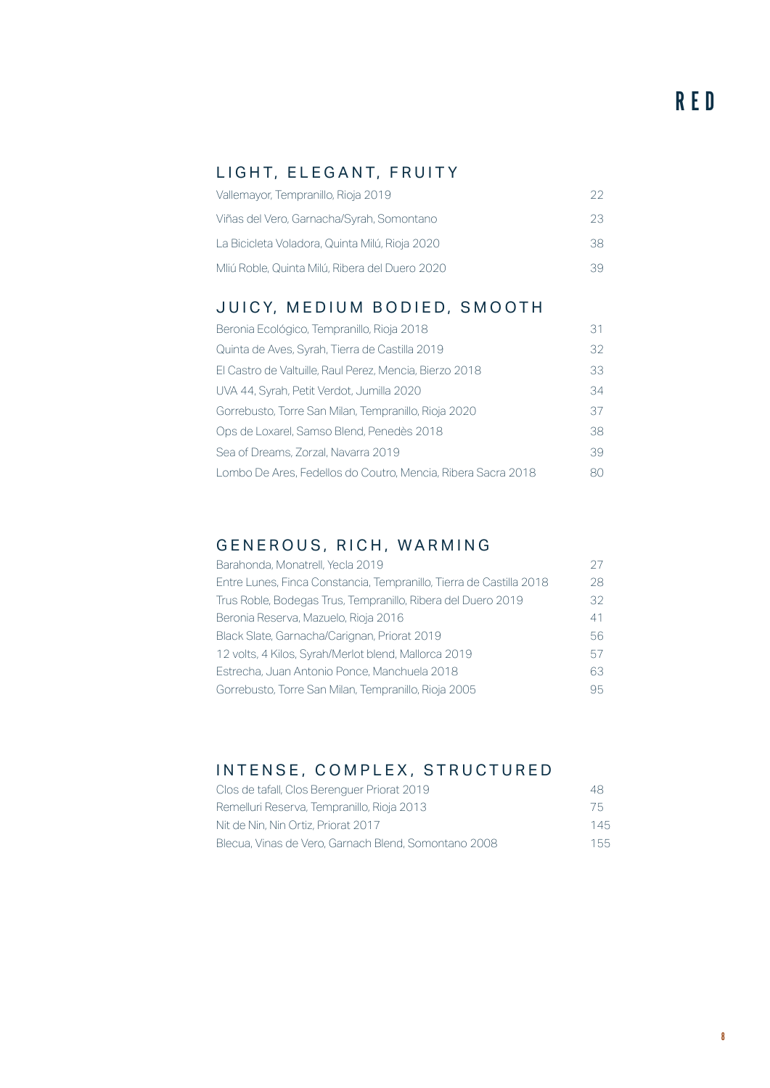#### LIGHT, ELEGANT, FRUITY

| Vallemayor, Tempranillo, Rioja 2019            | つつ |
|------------------------------------------------|----|
| Viñas del Vero, Garnacha/Syrah, Somontano      | 23 |
| La Bicicleta Voladora, Quinta Milú, Rioja 2020 | 38 |
| Mliú Roble, Quinta Milú, Ribera del Duero 2020 | 39 |

#### JUICY, MEDIUM BODIED, SMOOTH

| Beronia Ecológico, Tempranillo, Rioja 2018                   | 31 |
|--------------------------------------------------------------|----|
| Quinta de Aves, Syrah, Tierra de Castilla 2019               | 32 |
| El Castro de Valtuille, Raul Perez, Mencia, Bierzo 2018      | 33 |
| UVA 44, Syrah, Petit Verdot, Jumilla 2020                    | 34 |
| Gorrebusto, Torre San Milan, Tempranillo, Rioja 2020         | 37 |
| Ops de Loxarel, Samso Blend, Penedès 2018                    | 38 |
| Sea of Dreams, Zorzal, Navarra 2019                          | 39 |
| Lombo De Ares, Fedellos do Coutro, Mencia, Ribera Sacra 2018 | 80 |

#### GENEROUS, RICH, WARMING

| Barahonda, Monatrell, Yecla 2019                                    |    |
|---------------------------------------------------------------------|----|
| Entre Lunes, Finca Constancia, Tempranillo, Tierra de Castilla 2018 | 28 |
| Trus Roble, Bodegas Trus, Tempranillo, Ribera del Duero 2019        | 32 |
| Beronia Reserva, Mazuelo, Rioja 2016                                | 41 |
| Black Slate, Garnacha/Carignan, Priorat 2019                        | 56 |
| 12 volts, 4 Kilos, Syrah/Merlot blend, Mallorca 2019                | 57 |
| Estrecha, Juan Antonio Ponce, Manchuela 2018                        | 63 |
| Gorrebusto, Torre San Milan, Tempranillo, Rioja 2005                | 95 |

#### INTENSE, COMPLEX, STRUCTURED

| Clos de tafall, Clos Berenguer Priorat 2019          | 48  |
|------------------------------------------------------|-----|
| Remelluri Reserva, Tempranillo, Rioja 2013           | 75  |
| Nit de Nin, Nin Ortiz, Priorat 2017                  | 145 |
| Blecua, Vinas de Vero, Garnach Blend, Somontano 2008 | 155 |